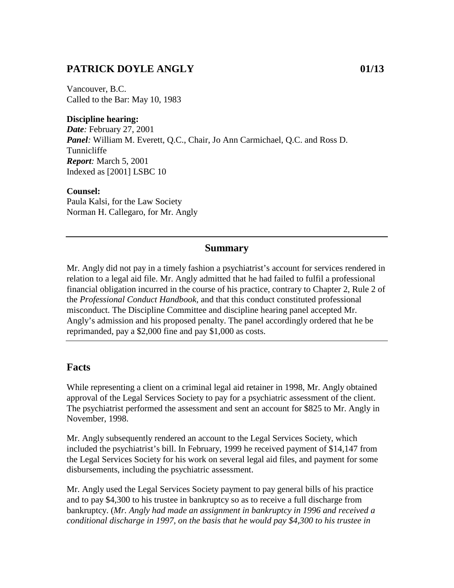### **PATRICK DOYLE ANGLY 01/13**

Vancouver, B.C. Called to the Bar: May 10, 1983

### **Discipline hearing:**

*Date:* February 27, 2001 *Panel:* William M. Everett, Q.C., Chair, Jo Ann Carmichael, Q.C. and Ross D. Tunnicliffe *Report:* March 5, 2001 Indexed as [2001] LSBC 10

#### **Counsel:**

Paula Kalsi, for the Law Society Norman H. Callegaro, for Mr. Angly

### **Summary**

Mr. Angly did not pay in a timely fashion a psychiatrist's account for services rendered in relation to a legal aid file. Mr. Angly admitted that he had failed to fulfil a professional financial obligation incurred in the course of his practice, contrary to Chapter 2, Rule 2 of the *Professional Conduct Handbook,* and that this conduct constituted professional misconduct. The Discipline Committee and discipline hearing panel accepted Mr. Angly's admission and his proposed penalty. The panel accordingly ordered that he be reprimanded, pay a \$2,000 fine and pay \$1,000 as costs.

### **Facts**

While representing a client on a criminal legal aid retainer in 1998, Mr. Angly obtained approval of the Legal Services Society to pay for a psychiatric assessment of the client. The psychiatrist performed the assessment and sent an account for \$825 to Mr. Angly in November, 1998.

Mr. Angly subsequently rendered an account to the Legal Services Society, which included the psychiatrist's bill. In February, 1999 he received payment of \$14,147 from the Legal Services Society for his work on several legal aid files, and payment for some disbursements, including the psychiatric assessment.

Mr. Angly used the Legal Services Society payment to pay general bills of his practice and to pay \$4,300 to his trustee in bankruptcy so as to receive a full discharge from bankruptcy. (*Mr. Angly had made an assignment in bankruptcy in 1996 and received a conditional discharge in 1997, on the basis that he would pay \$4,300 to his trustee in*